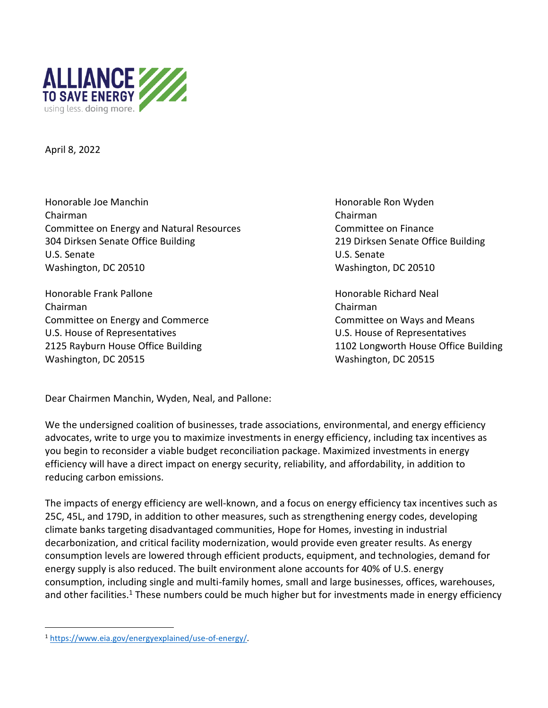

April 8, 2022

Honorable Joe Manchin Honorable Ron Wyden Chairman Chairman Committee on Energy and Natural Resources Committee on Finance 304 Dirksen Senate Office Building 219 Dirksen Senate Office Building U.S. Senate U.S. Senate Washington, DC 20510 Washington, DC 20510

Honorable Frank Pallone **Honorable Richard Neal** Chairman Chairman Committee on Energy and Commerce Committee on Ways and Means U.S. House of Representatives U.S. House of Representatives Washington, DC 20515 Washington, DC 20515

2125 Rayburn House Office Building 1102 Longworth House Office Building

Dear Chairmen Manchin, Wyden, Neal, and Pallone:

We the undersigned coalition of businesses, trade associations, environmental, and energy efficiency advocates, write to urge you to maximize investments in energy efficiency, including tax incentives as you begin to reconsider a viable budget reconciliation package. Maximized investments in energy efficiency will have a direct impact on energy security, reliability, and affordability, in addition to reducing carbon emissions.

The impacts of energy efficiency are well-known, and a focus on energy efficiency tax incentives such as 25C, 45L, and 179D, in addition to other measures, such as strengthening energy codes, developing climate banks targeting disadvantaged communities, Hope for Homes, investing in industrial decarbonization, and critical facility modernization, would provide even greater results. As energy consumption levels are lowered through efficient products, equipment, and technologies, demand for energy supply is also reduced. The built environment alone accounts for 40% of U.S. energy consumption, including single and multi-family homes, small and large businesses, offices, warehouses, and other facilities.<sup>1</sup> These numbers could be much higher but for investments made in energy efficiency

<sup>1</sup> [https://www.eia.gov/energyexplained/use-of-energy/.](https://www.eia.gov/energyexplained/use-of-energy/)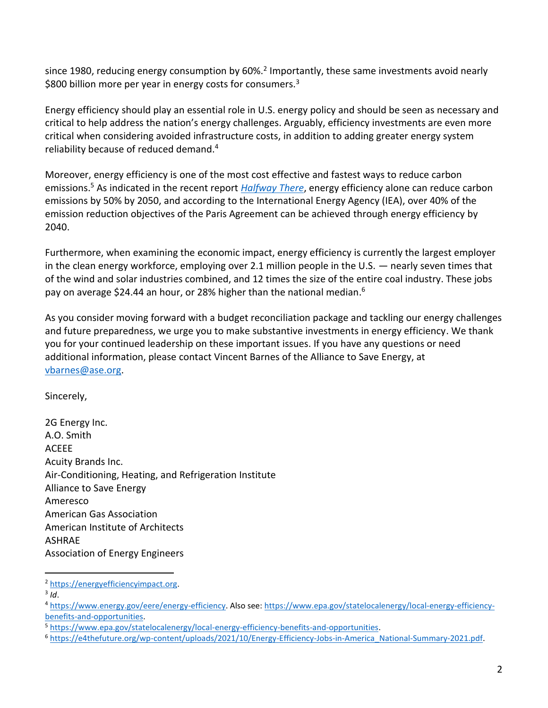since 1980, reducing energy consumption by 60%.<sup>2</sup> Importantly, these same investments avoid nearly \$800 billion more per year in energy costs for consumers.<sup>3</sup>

Energy efficiency should play an essential role in U.S. energy policy and should be seen as necessary and critical to help address the nation's energy challenges. Arguably, efficiency investments are even more critical when considering avoided infrastructure costs, in addition to adding greater energy system reliability because of reduced demand.<sup>4</sup>

Moreover, energy efficiency is one of the most cost effective and fastest ways to reduce carbon emissions. <sup>5</sup> As indicated in the recent report *[Halfway There](https://www.aceee.org/fact-sheet/halfway-there)*, energy efficiency alone can reduce carbon emissions by 50% by 2050, and according to the International Energy Agency (IEA), over 40% of the emission reduction objectives of the Paris Agreement can be achieved through energy efficiency by 2040.

Furthermore, when examining the economic impact, energy efficiency is currently the largest employer in the clean energy workforce, employing over 2.1 million people in the U.S. — nearly seven times that of the wind and solar industries combined, and 12 times the size of the entire coal industry. These jobs pay on average \$24.44 an hour, or 28% higher than the national median.<sup>6</sup>

As you consider moving forward with a budget reconciliation package and tackling our energy challenges and future preparedness, we urge you to make substantive investments in energy efficiency. We thank you for your continued leadership on these important issues. If you have any questions or need additional information, please contact Vincent Barnes of the Alliance to Save Energy, at [vbarnes@ase.org.](mailto:vbarnes@ase.org)

Sincerely,

2G Energy Inc. A.O. Smith ACEEE Acuity Brands Inc. Air-Conditioning, Heating, and Refrigeration Institute Alliance to Save Energy Ameresco American Gas Association American Institute of Architects ASHRAE Association of Energy Engineers

3 *Id*.

<sup>2</sup> [https://energyefficiencyimpact.org.](https://energyefficiencyimpact.org/)

<sup>4</sup> [https://www.energy.gov/eere/energy-efficiency.](https://www.energy.gov/eere/energy-efficiency) Also see[: https://www.epa.gov/statelocalenergy/local-energy-efficiency](https://www.epa.gov/statelocalenergy/local-energy-efficiency-benefits-and-opportunities)[benefits-and-opportunities.](https://www.epa.gov/statelocalenergy/local-energy-efficiency-benefits-and-opportunities)

<sup>5</sup> [https://www.epa.gov/statelocalenergy/local-energy-efficiency-benefits-and-opportunities.](https://www.epa.gov/statelocalenergy/local-energy-efficiency-benefits-and-opportunities)

<sup>6</sup> [https://e4thefuture.org/wp-content/uploads/2021/10/Energy-Efficiency-Jobs-in-America\\_National-Summary-2021.pdf.](https://e4thefuture.org/wp-content/uploads/2021/10/Energy-Efficiency-Jobs-in-America_National-Summary-2021.pdf)